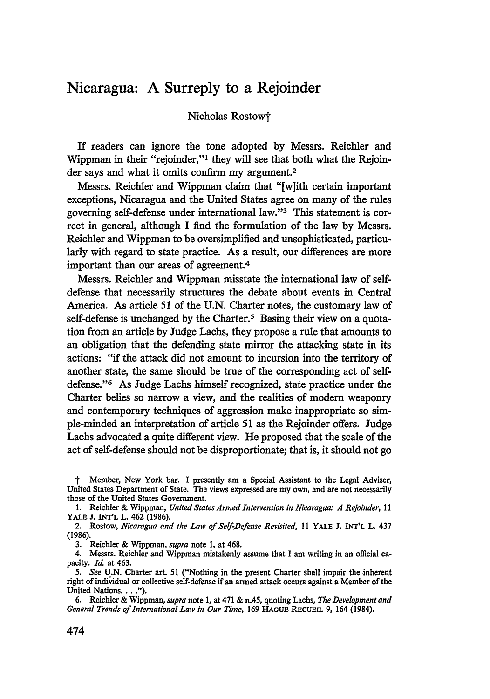## Nicaragua: **A** Surreply to a Rejoinder

## Nicholas Rostowt

If readers can ignore the tone adopted by Messrs. Reichler and Wippman in their "rejoinder,"1 they will see that both what the Rejoinder says and what it omits confirm my argument.<sup>2</sup>

Messrs. Reichler and Wippman claim that "[w]ith certain important exceptions, Nicaragua and the United States agree on many of the rules governing self-defense under international law."'3 This statement is correct in general, although I find the formulation of the law by Messrs. Reichler and Wippman to be oversimplified and unsophisticated, particularly with regard to state practice. As a result, our differences are more important than our areas of agreement.4

Messrs. Reichler and Wippman misstate the international law of selfdefense that necessarily structures the debate about events in Central America. As article 51 of the U.N. Charter notes, the customary law of self-defense is unchanged by the Charter.<sup>5</sup> Basing their view on a quotation from an article by Judge Lachs, they propose a rule that amounts to an obligation that the defending state mirror the attacking state in its actions: "if the attack did not amount to incursion into the territory of another state, the same should be true of the corresponding act of selfdefense."<sup>6</sup> As Judge Lachs himself recognized, state practice under the Charter belies so narrow a view, and the realities of modem weaponry and contemporary techniques of aggression make inappropriate so simple-minded an interpretation of article 51 as the Rejoinder offers. Judge Lachs advocated a quite different view. He proposed that the scale of the act of self-defense should not be disproportionate; that is, it should not go

t Member, New York bar. I presently am a Special Assistant to the Legal Adviser, United States Department of State. The views expressed are my own, and are not necessarily those of the United States Government.

1. Reichler & Wippman, *United States Armed Intervention in Nicaragua: A Rejoinder,* 11 YALE J. **INT'L** L. 462 (1986).

2. Rostow, *Nicaragua and the Law of Self-Defense Revisited,* 11 YALE J. INT'L L. 437 (1986).

3. Reichler & Wippman, *supra* note 1, at 468.

4. Messrs. Reichler and Wippman mistakenly assume that I am writing in an official capacity. *Id.* at 463.

*5. See* U.N. Charter art. 51 ("Nothing in the present Charter shall impair the inherent right of individual or collective self-defense if an armed attack occurs against a Member of the United Nations.. **").**

6. Reichler & Wippman, *supra* note 1, at 471 & n.45, quoting Lachs, *The Development and General Trends of International Law in Our Time,* 169 **HAGUE RECUEIL** 9, 164 (1984).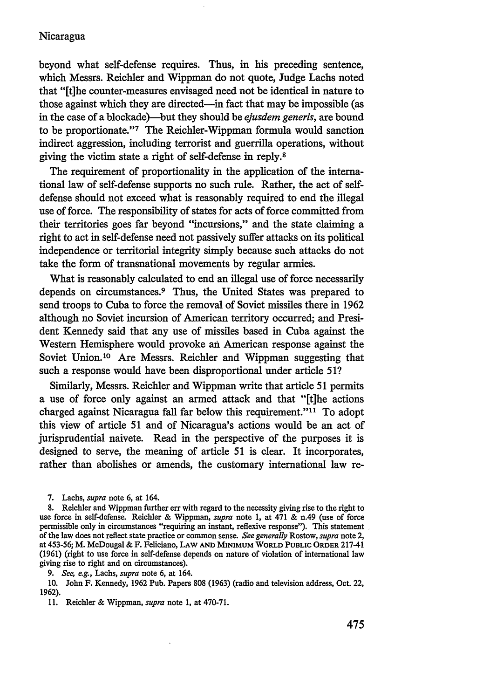## Nicaragua

beyond what self-defense requires. Thus, in his preceding sentence, which Messrs. Reichler and Wippman do not quote, Judge Lachs noted that "[t]he counter-measures envisaged need not be identical in nature to those against which they are directed-in fact that may be impossible (as in the case of a blockade)-but they should be *ejusdem generis,* are bound to be proportionate."' 7 The Reichler-Wippman formula would sanction indirect aggression, including terrorist and guerrilla operations, without giving the victim state a right of self-defense in reply.8

The requirement of proportionality in the application of the international law of self-defense supports no such rule. Rather, the act of selfdefense should not exceed what is reasonably required to end the illegal use of force. The responsibility of states for acts of force committed from their territories goes far beyond "incursions," and the state claiming a right to act in self-defense need not passively suffer attacks on its political independence or territorial integrity simply because such attacks do not take the form of transnational movements by regular armies.

What is reasonably calculated to end an illegal use of force necessarily depends on circumstances.<sup>9</sup> Thus, the United States was prepared to send troops to Cuba to force the removal of Soviet missiles there in 1962 although no Soviet incursion of American territory occurred; and President Kennedy said that any use of missiles based in Cuba against the Western Hemisphere would provoke an American response against the Soviet Union.'0 Are Messrs. Reichler and Wippman suggesting that such a response would have been disproportional under article 51?

Similarly, Messrs. Reichier and Wippman write that article 51 permits a use of force only against an armed attack and that "[the actions charged against Nicaragua fall far below this requirement."<sup>11</sup> To adopt this view of article 51 and of Nicaragua's actions would be an act of jurisprudential naivete. Read in the perspective of the purposes it is designed to serve, the meaning of article 51 is clear. It incorporates, rather than abolishes or amends, the customary international law re-

*9. See, e.g.,* Lachs, *supra* note 6, at 164.

10. John F. Kennedy, 1962 Pub. Papers 808 (1963) (radio and television address, Oct. 22, **1962).**

<sup>7.</sup> Lachs, *supra* note 6, at 164.

<sup>8.</sup> Reichler and Wippman further err with regard to the necessity giving rise to the right to use force in self-defense. Reichler & Wippman, *supra* note **1,** at 471 & n.49 (use of force permissible only in circumstances "requiring an instant, reflexive response"). This statement of the law does not reflect state practice or common sense. *See generally* Rostow, *supra* note 2, at **453-56;** M. McDougal & F. Feliciano, **LAW AND MINIMUM** WORLD **PUBLIC** ORDER 217-41 (1961) (right to use force in self-defense depends on nature of violation of international law giving rise to right and on circumstances).

<sup>11.</sup> Reichler & Wippman, *supra* note **1,** at 470-71.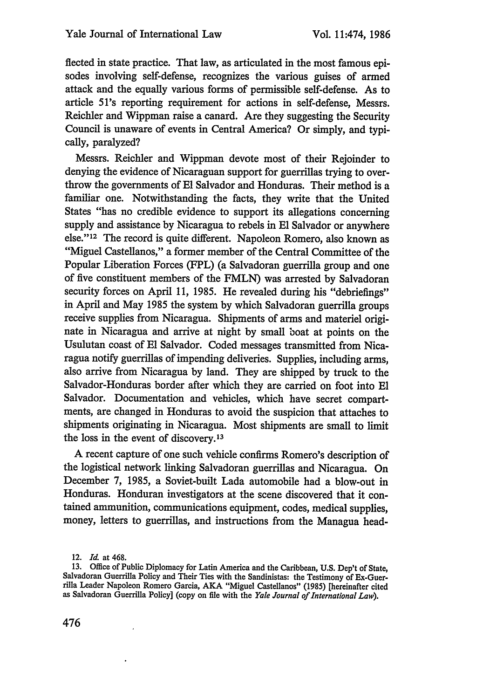fiected in state practice. That law, as articulated in the most famous episodes involving self-defense, recognizes the various guises of armed attack and the equally various forms of permissible self-defense. As to article 51's reporting requirement for actions in self-defense, Messrs. Reichler and Wippman raise a canard. Are they suggesting the Security Council is unaware of events in Central America? Or simply, and typically, paralyzed?

Messrs. Reichler and Wippman devote most of their Rejoinder to denying the evidence of Nicaraguan support for guerrillas trying to overthrow the governments of **El** Salvador and Honduras. Their method is a familiar one. Notwithstanding the facts, they write that the United States "has no credible evidence to support its allegations concerning supply and assistance by Nicaragua to rebels in **El** Salvador or anywhere else." 12 The record is quite different. Napoleon Romero, also known as "Miguel Castellanos," a former member of the Central Committee of the Popular Liberation Forces (FPL) (a Salvadoran guerrilla group and one of five constituent members of the FMLN) was arrested by Salvadoran security forces on April 11, 1985. He revealed during his "debriefings" in April and May 1985 the system by which Salvadoran guerrilla groups receive supplies from Nicaragua. Shipments of arms and materiel originate in Nicaragua and arrive at night by small boat at points on the Usulutan coast of **El** Salvador. Coded messages transmitted from Nicaragua notify guerrillas of impending deliveries. Supplies, including arms, also arrive from Nicaragua by land. They are shipped by truck to the Salvador-Honduras border after which they are carried on foot into **El** Salvador. Documentation and vehicles, which have secret compartments, are changed in Honduras to avoid the suspicion that attaches to shipments originating in Nicaragua. Most shipments are small to limit the loss in the event of discovery.13

A recent capture of one such vehicle confirms Romero's description of the logistical network linking Salvadoran guerrillas and Nicaragua. On December 7, 1985, a Soviet-built Lada automobile had a blow-out in Honduras. Honduran investigators at the scene discovered that it contained ammunition, communications equipment, codes, medical supplies, money, letters to guerrillas, and instructions from the Managua head-

476

<sup>12.</sup> *Id.* at 468.

<sup>13.</sup> Office of Public Diplomacy for Latin America and the Caribbean, U.S. Dep't of State, Salvadoran Guerrilla Policy and Their Ties with the Sandinistas: the Testimony of Ex-Guerrilla Leader Napoleon Romero Garcia, AKA "Miguel Castellanos" (1985) [hereinafter cited as Salvadoran Guerrilla Policy] (copy on file with the *Yale Journal of International Law).*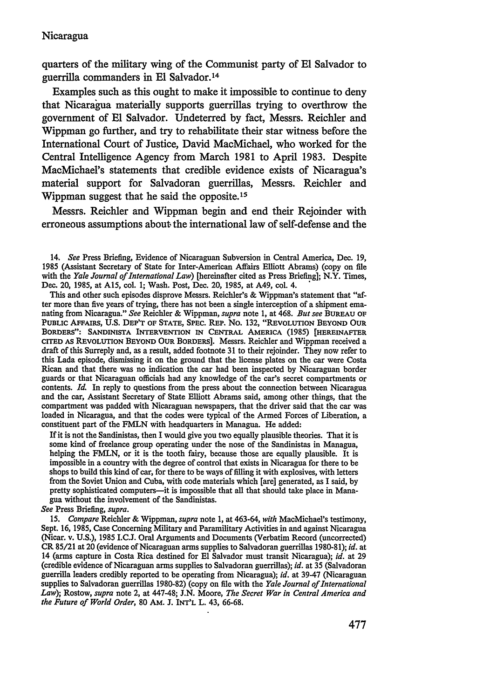quarters of the military wing of the Communist party of **El** Salvador to guerrilla commanders in **El** Salvador. <sup>14</sup>

Examples such as this ought to make it impossible to continue to deny that Nicaragua materially supports guerrillas trying to overthrow the government of **El** Salvador. Undeterred by fact, Messrs. Reichler and Wippman go further, and try to rehabilitate their star witness before the International Court of Justice, David MacMichael, who worked for the Central Intelligence Agency from March 1981 to April 1983. Despite MacMichael's statements that credible evidence exists of Nicaragua's material support for Salvadoran guerrillas, Messrs. Reichler and Wippman suggest that he said the opposite.15

Messrs. Reichler and Wippman begin and end their Rejoinder with erroneous assumptions about the international law of self-defense and the

This and other such episodes disprove Messrs. Reichler's & Wippman's statement that "af-<br>ter more than five years of trying, there has not been a single interception of a shipment emanating from Nicaragua." See Reichler & Wippman, *supra* note 1, at 468. *But see* BUREAU OF **PUBLIC** AFFAIRS, **U.S. DEP'T OF STATE,** SPEC. REP. No. 132, **"REVOLUTION BEYOND OUR** BORDERS": **SANDINISTA INTERVENTION IN CENTRAL AMERICA (1985) [HEREINAFTER CITED AS REVOLUTION BEYOND OUR BORDERS].** Messrs. Reichler and Wippman received a draft of this Surreply and, as a result, added footnote 31 to their rejoinder. They now refer to this Lada episode, dismissing it on the ground that the license plates on the car were Costa Rican and that there was no indication the car had been inspected **by** Nicaraguan border guards or that Nicaraguan officials had any knowledge of the car's secret compartments or contents. *Id.* In reply to questions from the press about the connection between Nicaragua and the car, Assistant Secretary of State Elliott Abrams said, among other things, that the loaded in Nicaragua, and that the codes were typical of the Armed Forces of Liberation, a constituent part of the FMLN with headquarters in Managua. He added:

If it is not the Sandinistas, then I would give you two equally plausible theories. That it is some kind of freelance group operating under the nose of the Sandinistas in Managua, helping the FMLN, or it is the tooth fairy, because those are equally plausible. It is impossible in a country with the degree of control that exists in Nicaragua for there to be shops to build this kind of car, for there to be ways of filling it with explosives, with letters from the Soviet Union and Cuba, with code materials which [are] generated, as I said, by pretty sophisticated computers-it is impossible that all that should take place in Managua without the involvement of the Sandinistas.

*See* Press Briefing, *supra.*

15. *Compare* Reichler & Wippman, *supra* note 1, at 463-64, *with* MacMichael's testimony, Sept. 16, 1985, Case Concerning Military and Paramilitary Activities in and against Nicaragua (Nicar. v. U.S.), 1985 I.C.J. Oral Arguments and Documents (Verbatim Record (uncorrected) CR 85/21 at 20 (evidence of Nicaraguan arms supplies to Salvadoran guerrillas 1980-81); *id.* at 14 (arms capture in Costa Rica destined for **El** Salvador must transit Nicaragua); *id.* at 29 (credible evidence of Nicaraguan arms supplies to Salvadoran guerrillas); *id.* at 35 (Salvadoran guerrilla leaders credibly reported to be operating from Nicaragua); *id.* at 39-47 (Nicaraguan supplies to Salvadoran guerrillas 1980-82) (copy on file with the *Yale Journal of International Law);* Rostow, *supra* note 2, at 447-48; J.N. Moore, *The Secret War in Central America and the Future of World Order,* 80 AM. J. INT'L L. 43, 66-68.

<sup>14.</sup> *See* Press Briefing, Evidence of Nicaraguan Subversion in Central America, Dec. 19, 1985 (Assistant Secretary of State for Inter-American Affairs Elliott Abrams) (copy on fie with the *Yale Journal of International Law)* [hereinafter cited as Press Briefing]; N.Y. Times, Dec. 20, 1985, at **A15,** col. 1; Wash. Post, Dec. 20, 1985, at A49, col. 4.